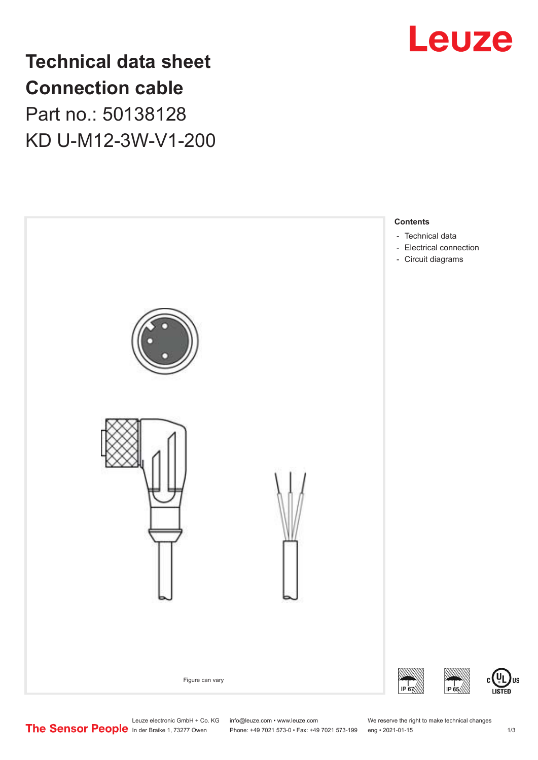

**Technical data sheet Connection cable** Part no.: 50138128 KD U-M12-3W-V1-200



Leuze electronic GmbH + Co. KG info@leuze.com • www.leuze.com We reserve the right to make technical changes<br>
The Sensor People in der Braike 1, 73277 Owen Phone: +49 7021 573-0 • Fax: +49 7021 573-199 eng • 2021-01-15

Phone: +49 7021 573-0 • Fax: +49 7021 573-199 eng • 2021-01-15

US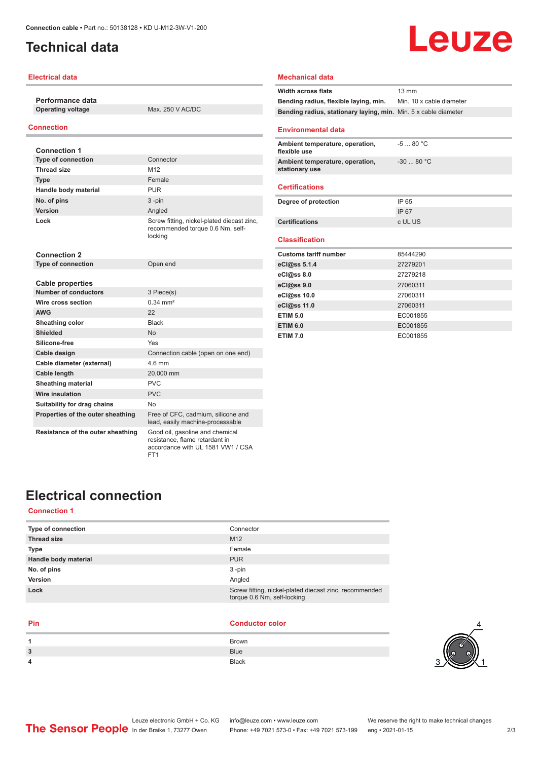### <span id="page-1-0"></span>**Technical data**

#### **Electrical data**

**Performance data**

**Operating voltage** Max. 250 V AC/DC

#### **Connection**

| <b>Connection 1</b>               |                                                                                           |
|-----------------------------------|-------------------------------------------------------------------------------------------|
| <b>Type of connection</b>         | Connector                                                                                 |
| Thread size                       | M <sub>12</sub>                                                                           |
| <b>Type</b>                       | Female                                                                                    |
| Handle body material              | <b>PUR</b>                                                                                |
| No. of pins                       | $3 - pin$                                                                                 |
| Version                           | Angled                                                                                    |
| Lock                              | Screw fitting, nickel-plated diecast zinc,<br>recommended torque 0.6 Nm, self-<br>locking |
| <b>Connection 2</b>               |                                                                                           |
| <b>Type of connection</b>         | Open end                                                                                  |
|                                   |                                                                                           |
| <b>Cable properties</b>           |                                                                                           |
| <b>Number of conductors</b>       | 3 Piece(s)                                                                                |
| Wire cross section                | $0.34 \, \text{mm}^2$                                                                     |
| <b>AWG</b>                        | 22                                                                                        |
| Sheathing color                   | <b>Black</b>                                                                              |
| <b>Shielded</b>                   | <b>No</b>                                                                                 |
| Silicone-free                     | Yes                                                                                       |
| Cable design                      | Connection cable (open on one end)                                                        |
| Cable diameter (external)         | $4.6$ mm                                                                                  |
| <b>Cable length</b>               | 20,000 mm                                                                                 |
| <b>Sheathing material</b>         | <b>PVC</b>                                                                                |
| Wire insulation                   | <b>PVC</b>                                                                                |
| Suitability for drag chains       | No                                                                                        |
| Properties of the outer sheathing | Free of CFC, cadmium, silicone and<br>lead, easily machine-processable                    |
| Resistance of the outer sheathing | Good oil, gasoline and chemical<br>resistance, flame retardant in                         |

FT1

# Leuze **Width across flats** 13 mm **Bending radius, flexible laying, min.** Min. 10 x cable diameter

#### **Environmental data**

**Mechanical data**

| Ambient temperature, operation,<br>flexible use   | $-580 °C$  |
|---------------------------------------------------|------------|
| Ambient temperature, operation,<br>stationary use | $-3080 °C$ |
| <b>Certifications</b>                             |            |

**Bending radius, stationary laying, min.** Min. 5 x cable diameter

| Degree of protection  | IP 65   |
|-----------------------|---------|
|                       | IP 67   |
| <b>Certifications</b> | c UL US |
|                       |         |

#### **Classification**

| <b>Customs tariff number</b> | 85444290 |
|------------------------------|----------|
| eCl@ss 5.1.4                 | 27279201 |
| eCl@ss 8.0                   | 27279218 |
| eCl@ss 9.0                   | 27060311 |
| eCl@ss 10.0                  | 27060311 |
| eCl@ss 11.0                  | 27060311 |
| <b>ETIM 5.0</b>              | EC001855 |
| <b>ETIM 6.0</b>              | EC001855 |
| <b>ETIM 7.0</b>              | EC001855 |

### **Electrical connection**

### **Connection 1**

| Connector                                                                             |
|---------------------------------------------------------------------------------------|
| M <sub>12</sub>                                                                       |
| Female                                                                                |
| <b>PUR</b>                                                                            |
| $3 - pin$                                                                             |
| Angled                                                                                |
| Screw fitting, nickel-plated diecast zinc, recommended<br>torque 0.6 Nm, self-locking |
|                                                                                       |

accordance with UL 1581 VW1 / CSA

#### **Pin Conductor color**

| 1 | Brown        |
|---|--------------|
| 3 | <b>Blue</b>  |
| 4 | <b>Black</b> |